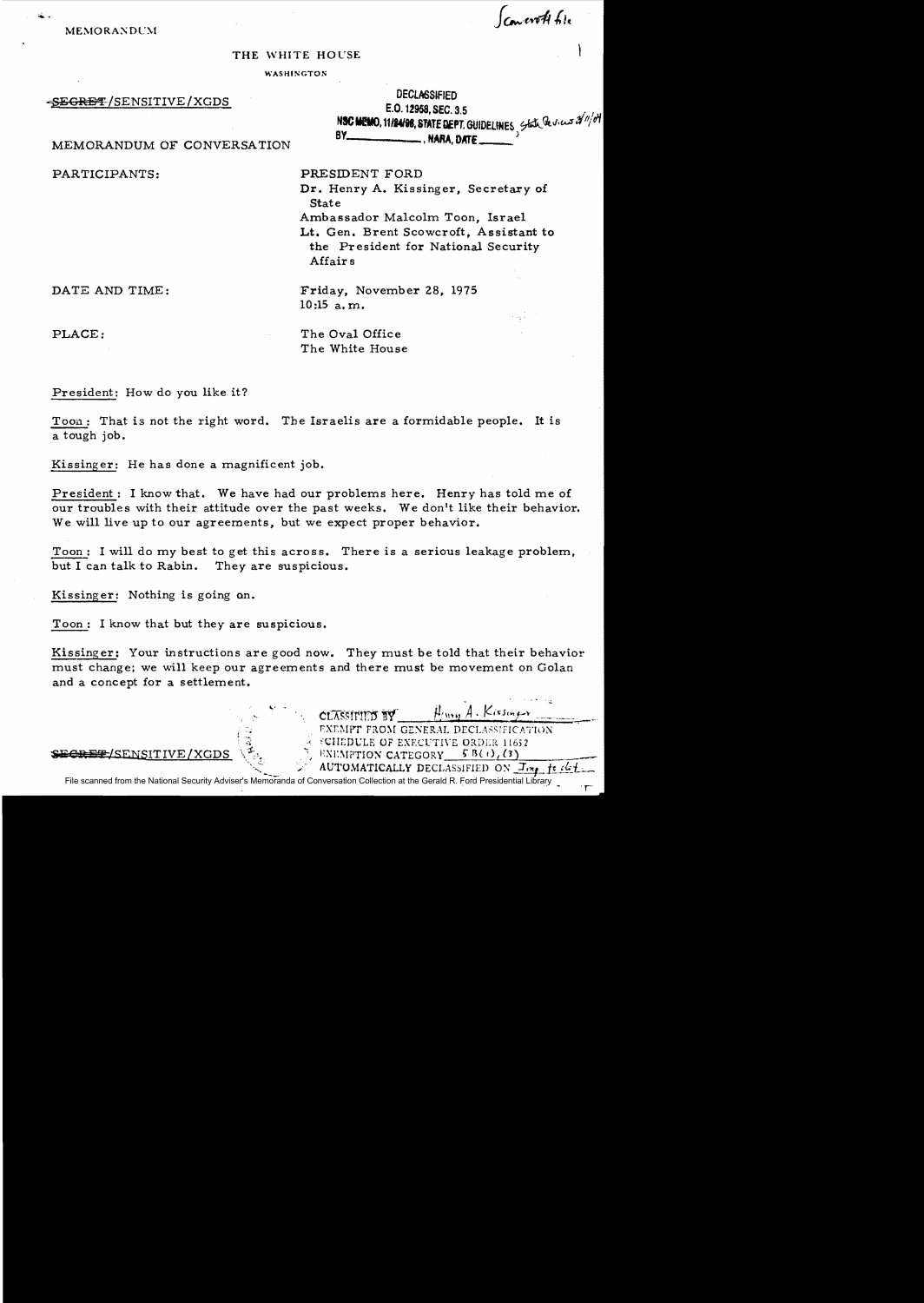Concrete 610

MEMORANDUM

## THE WHITE HOUSE

**WASHINGTON** 

-SEGRET/SENSITIVE/XGDS

| <b>DECLASSIFIED</b>                                             |  |
|-----------------------------------------------------------------|--|
| E.O. 12958, SEC. 3.5                                            |  |
| NSC MEMO, 11/24/98, STATE DEPT. GUIDELINES State Devices 2/1/04 |  |
|                                                                 |  |

 $H_{i\mu\nu\rho}$  A. Kissinger

EXEMPT FROM GENERAL DECLASSIFICATION

A SCHEDULE OF EXECUTIVE ORDER 11652 ENEMPTION CATEGORY  $5B(t)/(3)$ 

MEMORANDUM OF CONVERSATION

PARTICIPANTS:

PRESIDENT FORD Dr. Henry A. Kissinger, Secretary of **State** Ambassador Malcolm Toon, Israel Lt. Gen. Brent Scowcroft, Assistant to the President for National Security Affairs

DATE AND TIME:

Friday, November 28, 1975  $10:15$  a.m.

PLACE:

The Oval Office The White House

President: How do you like it?

Toon: That is not the right word. The Israelis are a formidable people. It is a tough job.

Kissinger: He has done a magnificent job.

President: I know that. We have had our problems here. Henry has told me of our troubles with their attitude over the past weeks. We don't like their behavior. We will live up to our agreements, but we expect proper behavior.

Toon: I will do my best to get this across. There is a serious leakage problem, but I can talk to Rabin. They are suspicious.

Kissinger: Nothing is going on.

Toon: I know that but they are suspicious.

Kissinger: Your instructions are good now. They must be told that their behavior must change; we will keep our agreements and there must be movement on Golan and a concept for a settlement.

SECRET/SENSITIVE/XGDS

AUTOMATICALLY DECLASSIFIED ON Imp. ft det File scanned from the National Security Adviser's Memoranda of Conversation Collection at the Gerald R. Ford Presidential Library

CLASSIFIED BY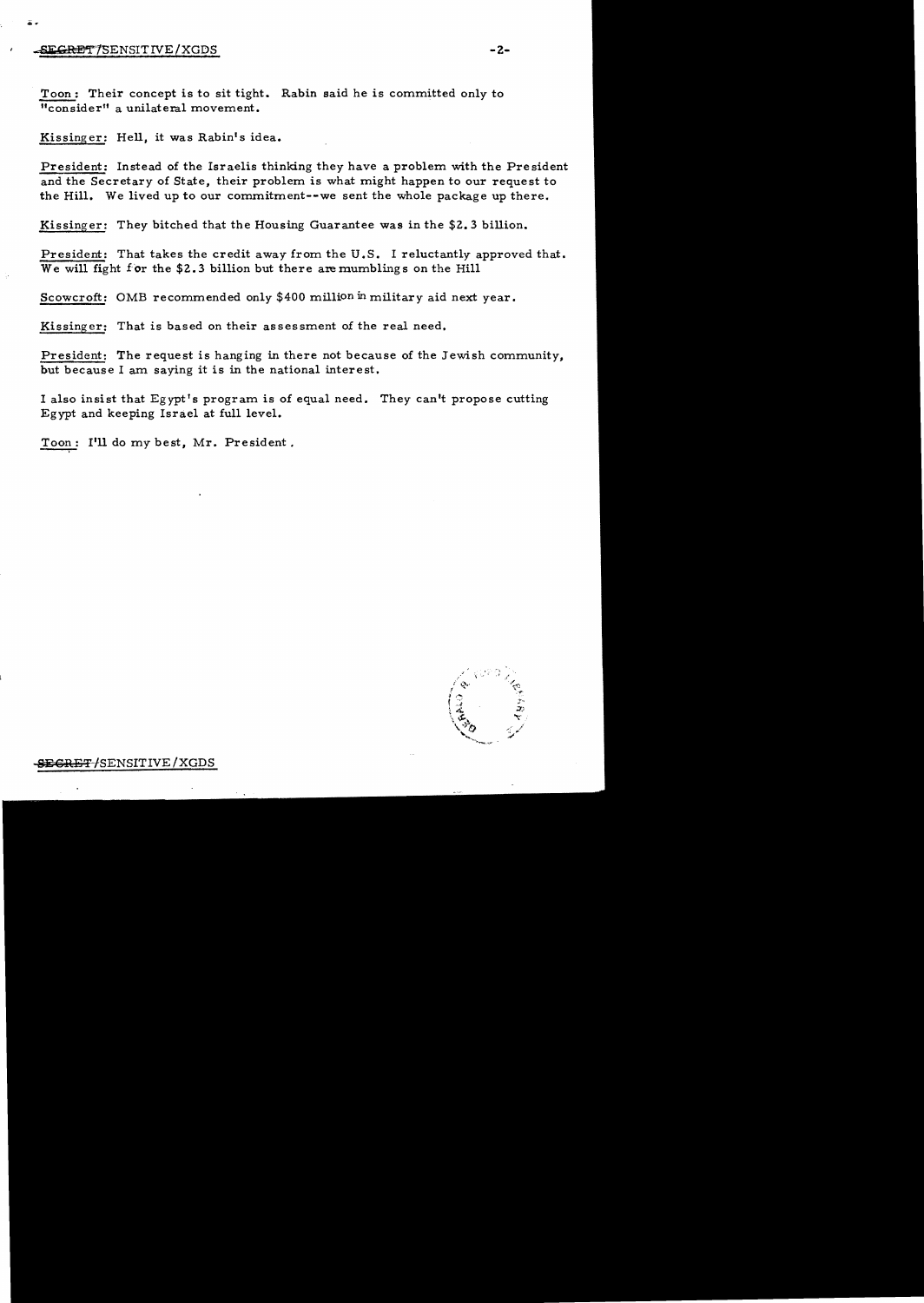## rSFCR®"I'1SENSITIVE/XGDS **-2**

Toon: Their concept is to sit tight. Rabin said he is committed only to "consider" a unilateral movement.

Kissinger: Hell, it was Rabin's idea.

President: Instead of the Israelis thinking they have a problem with the President and the Secretary of State, their problem is what might happen to our request to the Hill. We lived up to our commitment--we sent the whole package up there.

Kissinger: They bitched that the Housing Guarantee was in the \$2.3 billion.

President: That takes the credit away from the U.S. I reluctantly approved that. We will fight for the \$2.3 billion but there are mumblings on the Hill

Scowcroft: OMB recommended only \$400 million in military aid next year.

Kissinger: That is based on their assessment of the real need.

President: The request is hanging in there not because of the Jewish community, but because I am saying it is in the national interest.

I also insist that Egypt's program is of equal need. They can't propose cutting Egypt and keeping Israel at full level.

Toon: I'll do my best, Mr. President.



SEGRET/SENSITIVE / XGDS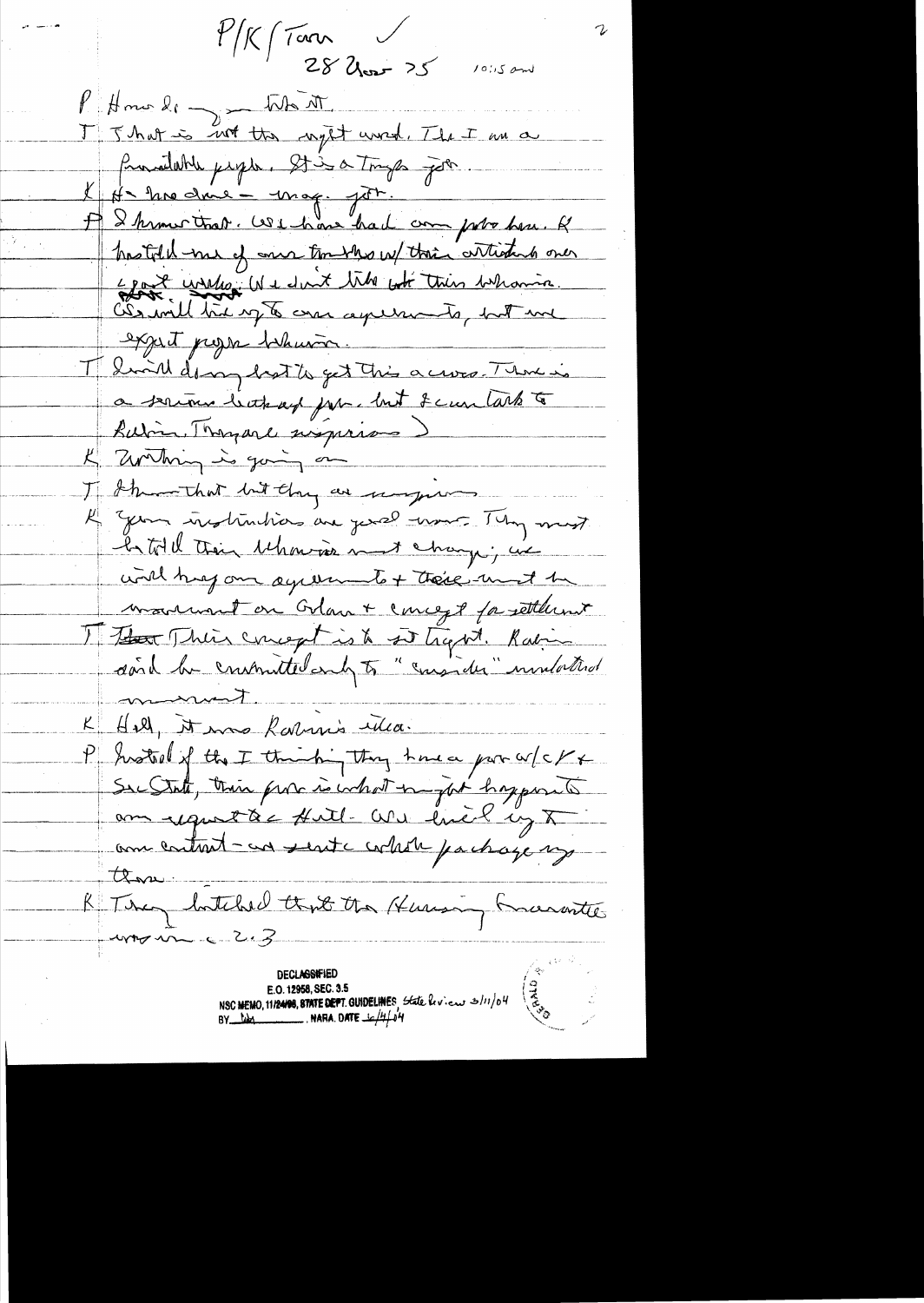$1/K/Tan \t\t 1$  $28$  Uner  $25$  $1015$  and PHono le ~ the AT. I J hat is not the night word. The I am a Promodulite paper. It is a Tryp poter I He me doie - mag. por. hastold me of one tombers w/ their articles oner Egot wisher We don't tike got this whomin. expect progres behavior. I hound do my hat to get this a cross. There is a serious buthough para but I can take to Butin Thomas signings K Zwilning is going on I show that but they are ungere l'Illen instrutions are just mont Thy must Intitell their behavior must change; we with hay an agreement + there must be monument on Grant concept for settlement The Their concept is to set trap at. Raling dand be constructed and to "consider" undatted monient. K Hill, it was Rabinis illea. P Instead of the I thinking they have por w/c/x Sec State, their provisionalent in just happenent am uport à c full- We livet up X amentant-au sent contable pachage my those R Ting butched that the Human Kurante umonne e 2.3

**DECLASSIFIED** E.O. 12958, SEC. 3.5<br>NSC MEMO, 11/24/08, STATE DEPT. GUIDELINES State hvien 3/11/04<br>BY MAN MARA. DATE  $\frac{1}{2}$ /4/04